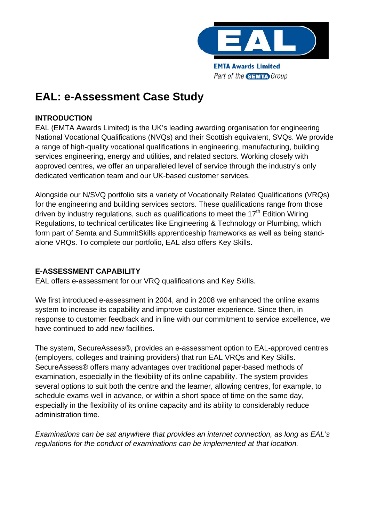

# **EAL: e-Assessment Case Study**

# **INTRODUCTION**

EAL (EMTA Awards Limited) is the UK's leading awarding organisation for engineering National Vocational Qualifications (NVQs) and their Scottish equivalent, SVQs. We provide a range of high-quality vocational qualifications in engineering, manufacturing, building services engineering, energy and utilities, and related sectors. Working closely with approved centres, we offer an unparalleled level of service through the industry's only dedicated verification team and our UK-based customer services.

Alongside our N/SVQ portfolio sits a variety of Vocationally Related Qualifications (VRQs) for the engineering and building services sectors. These qualifications range from those driven by industry regulations, such as qualifications to meet the  $17<sup>th</sup>$  Edition Wiring Regulations, to technical certificates like Engineering & Technology or Plumbing, which form part of Semta and SummitSkills apprenticeship frameworks as well as being standalone VRQs. To complete our portfolio, EAL also offers Key Skills.

## **E-ASSESSMENT CAPABILITY**

EAL offers e-assessment for our VRQ qualifications and Key Skills.

We first introduced e-assessment in 2004, and in 2008 we enhanced the online exams system to increase its capability and improve customer experience. Since then, in response to customer feedback and in line with our commitment to service excellence, we have continued to add new facilities.

The system, SecureAssess®, provides an e-assessment option to EAL-approved centres (employers, colleges and training providers) that run EAL VRQs and Key Skills. SecureAssess® offers many advantages over traditional paper-based methods of examination, especially in the flexibility of its online capability. The system provides several options to suit both the centre and the learner, allowing centres, for example, to schedule exams well in advance, or within a short space of time on the same day, especially in the flexibility of its online capacity and its ability to considerably reduce administration time.

*Examinations can be sat anywhere that provides an internet connection, as long as EAL's regulations for the conduct of examinations can be implemented at that location.*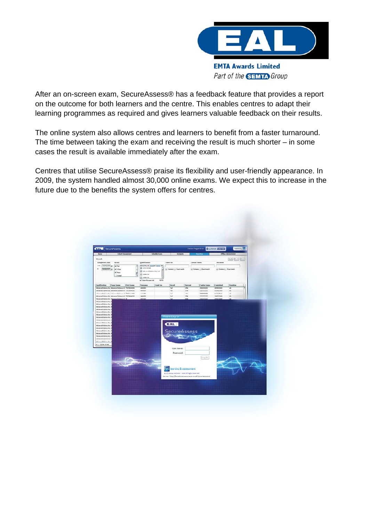

After an on-screen exam, SecureAssess® has a feedback feature that provides a report on the outcome for both learners and the centre. This enables centres to adapt their learning programmes as required and gives learners valuable feedback on their results.

The online system also allows centres and learners to benefit from a faster turnaround. The time between taking the exam and receiving the result is much shorter – in some cases the result is available immediately after the exam.

Centres that utilise SecureAssess® praise its flexibility and user-friendly appearance. In 2009, the system handled almost 30,000 online exams. We expect this to increase in the future due to the benefits the system offers for centres.

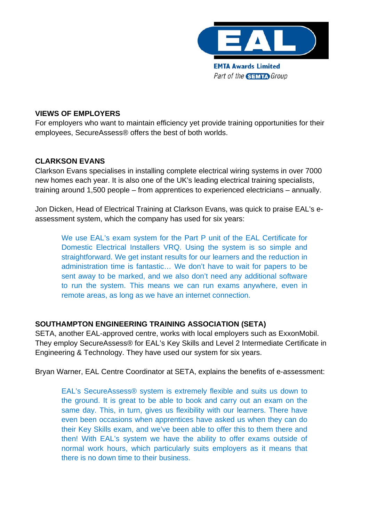

#### **VIEWS OF EMPLOYERS**

For employers who want to maintain efficiency yet provide training opportunities for their employees, SecureAssess® offers the best of both worlds.

## **CLARKSON EVANS**

Clarkson Evans specialises in installing complete electrical wiring systems in over 7000 new homes each year. It is also one of the UK's leading electrical training specialists, training around 1,500 people – from apprentices to experienced electricians – annually.

Jon Dicken, Head of Electrical Training at Clarkson Evans, was quick to praise EAL's eassessment system, which the company has used for six years:

We use EAL's exam system for the Part P unit of the EAL Certificate for Domestic Electrical Installers VRQ. Using the system is so simple and straightforward. We get instant results for our learners and the reduction in administration time is fantastic… We don't have to wait for papers to be sent away to be marked, and we also don't need any additional software to run the system. This means we can run exams anywhere, even in remote areas, as long as we have an internet connection.

## **SOUTHAMPTON ENGINEERING TRAINING ASSOCIATION (SETA)**

SETA, another EAL-approved centre, works with local employers such as ExxonMobil. They employ SecureAssess® for EAL's Key Skills and Level 2 Intermediate Certificate in Engineering & Technology. They have used our system for six years.

Bryan Warner, EAL Centre Coordinator at SETA, explains the benefits of e-assessment:

EAL's SecureAssess® system is extremely flexible and suits us down to the ground. It is great to be able to book and carry out an exam on the same day. This, in turn, gives us flexibility with our learners. There have even been occasions when apprentices have asked us when they can do their Key Skills exam, and we've been able to offer this to them there and then! With EAL's system we have the ability to offer exams outside of normal work hours, which particularly suits employers as it means that there is no down time to their business.